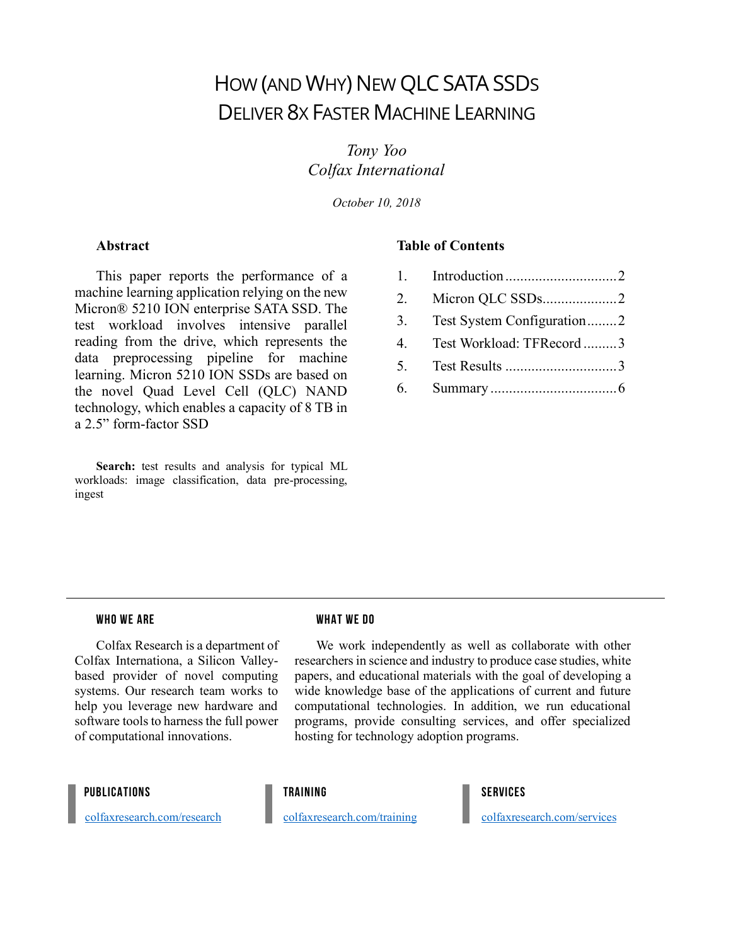# HOW (AND WHY) NEW QLCSATA SSDS DELIVER 8X FASTER MACHINE LEARNING

*Tony Yoo Colfax International*

*October 10, 2018*

### **Abstract**

This paper reports the performance of a machine learning application relying on the new Micron® 5210 ION enterprise SATA SSD. The test workload involves intensive parallel reading from the drive, which represents the data preprocessing pipeline for machine learning. Micron 5210 ION SSDs are based on the novel Quad Level Cell (QLC) NAND technology, which enables a capacity of 8 TB in a 2.5" form-factor SSD

Search: test results and analysis for typical ML workloads: image classification, data pre-processing, ingest

### **Table of Contents**

- 1. Introduction..............................2
- 2. Micron QLC SSDs....................2
- 3. Test System Configuration........2
- 4. Test Workload: TFRecord .........3
- 5. Test Results ..............................3
- 6. Summary ..................................6

#### WHO WE ARE

Colfax Research is a department of Colfax Internationa, a Silicon Valleybased provider of novel computing systems. Our research team works to help you leverage new hardware and software tools to harness the full power of computational innovations.

### WHAT WE DO

We work independently as well as collaborate with other researchers in science and industry to produce case studies, white papers, and educational materials with the goal of developing a wide knowledge base of the applications of current and future computational technologies. In addition, we run educational programs, provide consulting services, and offer specialized hosting for technology adoption programs.

#### PUBLICATIONS

colfaxresearch.com/research

colfaxresearch.com/training

TRAINING

colfaxresearch.com/services

SERVICES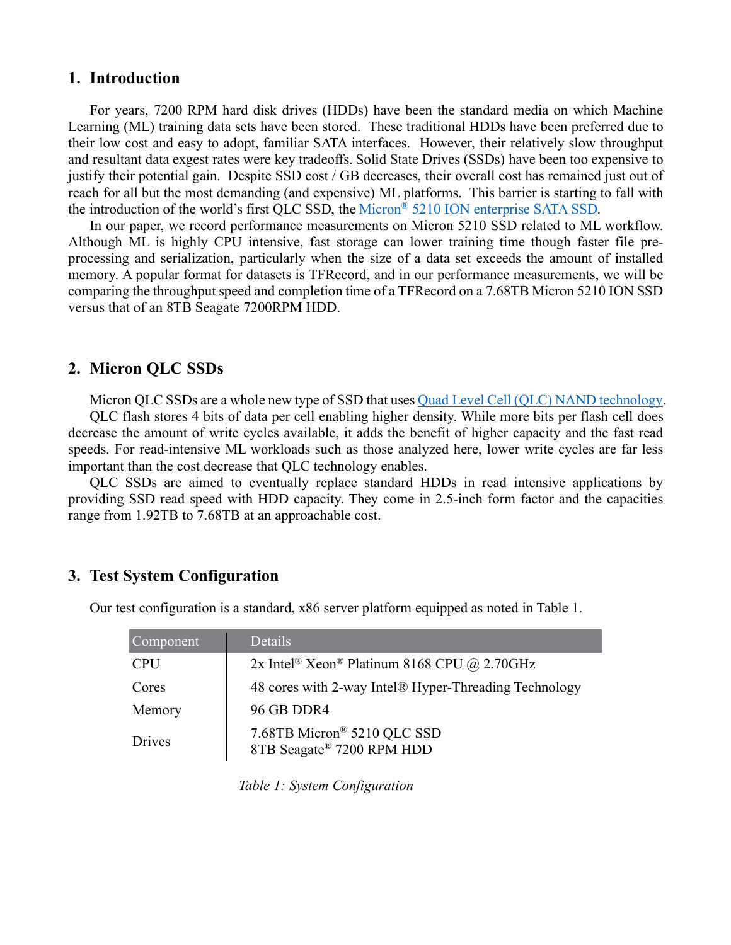## **1. Introduction**

For years, 7200 RPM hard disk drives (HDDs) have been the standard media on which Machine Learning (ML) training data sets have been stored. These traditional HDDs have been preferred due to their low cost and easy to adopt, familiar SATA interfaces. However, their relatively slow throughput and resultant data exgest rates were key tradeoffs. Solid State Drives (SSDs) have been too expensive to justify their potential gain. Despite SSD cost / GB decreases, their overall cost has remained just out of reach for all but the most demanding (and expensive) ML platforms. This barrier is starting to fall with the introduction of the world's first QLC SSD, the Micron<sup>®</sup> 5210 ION enterprise SATA SSD.

In our paper, we record performance measurements on Micron 5210 SSD related to ML workflow. Although ML is highly CPU intensive, fast storage can lower training time though faster file preprocessing and serialization, particularly when the size of a data set exceeds the amount of installed memory. A popular format for datasets is TFRecord, and in our performance measurements, we will be comparing the throughput speed and completion time of a TFRecord on a 7.68TB Micron 5210 ION SSD versus that of an 8TB Seagate 7200RPM HDD.

# **2. Micron QLC SSDs**

Micron QLC SSDs are a whole new type of SSD that uses Quad Level Cell (QLC) NAND technology.

QLC flash stores 4 bits of data per cell enabling higher density. While more bits per flash cell does decrease the amount of write cycles available, it adds the benefit of higher capacity and the fast read speeds. For read-intensive ML workloads such as those analyzed here, lower write cycles are far less important than the cost decrease that QLC technology enables.

QLC SSDs are aimed to eventually replace standard HDDs in read intensive applications by providing SSD read speed with HDD capacity. They come in 2.5-inch form factor and the capacities range from 1.92TB to 7.68TB at an approachable cost.

# **3. Test System Configuration**

| Component  | Details                                                             |
|------------|---------------------------------------------------------------------|
| <b>CPU</b> | 2x Intel <sup>®</sup> Xeon <sup>®</sup> Platinum 8168 CPU @ 2.70GHz |
| Cores      | 48 cores with 2-way Intel® Hyper-Threading Technology               |
| Memory     | 96 GB DDR4                                                          |
| Drives     | 7.68TB Micron® 5210 QLC SSD<br>8TB Seagate® 7200 RPM HDD            |

Our test configuration is a standard, x86 server platform equipped as noted in Table 1.

*Table 1: System Configuration*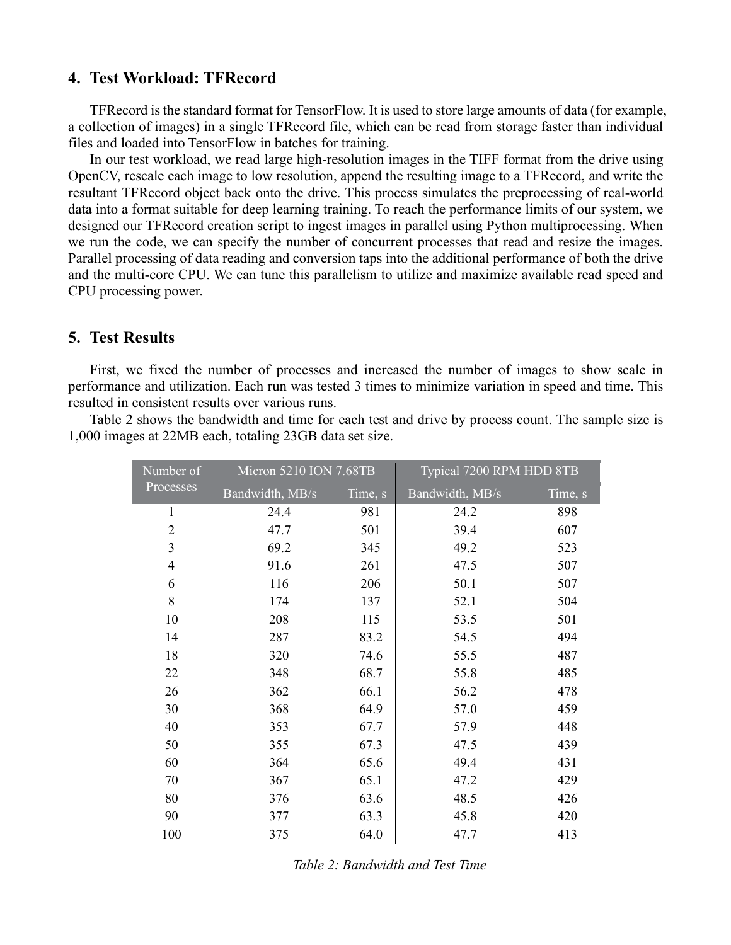# **4. Test Workload: TFRecord**

TFRecord is the standard format for TensorFlow. It is used to store large amounts of data (for example, a collection of images) in a single TFRecord file, which can be read from storage faster than individual files and loaded into TensorFlow in batches for training.

In our test workload, we read large high-resolution images in the TIFF format from the drive using OpenCV, rescale each image to low resolution, append the resulting image to a TFRecord, and write the resultant TFRecord object back onto the drive. This process simulates the preprocessing of real-world data into a format suitable for deep learning training. To reach the performance limits of our system, we designed our TFRecord creation script to ingest images in parallel using Python multiprocessing. When we run the code, we can specify the number of concurrent processes that read and resize the images. Parallel processing of data reading and conversion taps into the additional performance of both the drive and the multi-core CPU. We can tune this parallelism to utilize and maximize available read speed and CPU processing power.

### **5. Test Results**

First, we fixed the number of processes and increased the number of images to show scale in performance and utilization. Each run was tested 3 times to minimize variation in speed and time. This resulted in consistent results over various runs.

Table 2 shows the bandwidth and time for each test and drive by process count. The sample size is 1,000 images at 22MB each, totaling 23GB data set size.

| Number of      | Micron 5210 ION 7.68TB |         | Typical 7200 RPM HDD 8TB |         |  |
|----------------|------------------------|---------|--------------------------|---------|--|
| Processes      | Bandwidth, MB/s        | Time, s | Bandwidth, MB/s          | Time, s |  |
| $\mathbf{1}$   | 24.4                   | 981     | 24.2                     | 898     |  |
| $\overline{2}$ | 47.7                   | 501     | 39.4                     | 607     |  |
| 3              | 69.2                   | 345     | 49.2                     | 523     |  |
| $\overline{4}$ | 91.6                   | 261     | 47.5                     | 507     |  |
| 6              | 116                    | 206     | 50.1                     | 507     |  |
| 8              | 174                    | 137     | 52.1                     | 504     |  |
| 10             | 208                    | 115     | 53.5                     | 501     |  |
| 14             | 287                    | 83.2    | 54.5                     | 494     |  |
| 18             | 320                    | 74.6    | 55.5                     | 487     |  |
| 22             | 348                    | 68.7    | 55.8                     | 485     |  |
| 26             | 362                    | 66.1    | 56.2                     | 478     |  |
| 30             | 368                    | 64.9    | 57.0                     | 459     |  |
| 40             | 353                    | 67.7    | 57.9                     | 448     |  |
| 50             | 355                    | 67.3    | 47.5                     | 439     |  |
| 60             | 364                    | 65.6    | 49.4                     | 431     |  |
| 70             | 367                    | 65.1    | 47.2                     | 429     |  |
| 80             | 376                    | 63.6    | 48.5                     | 426     |  |
| 90             | 377                    | 63.3    | 45.8                     | 420     |  |
| 100            | 375                    | 64.0    | 47.7                     | 413     |  |

*Table 2: Bandwidth and Test Time*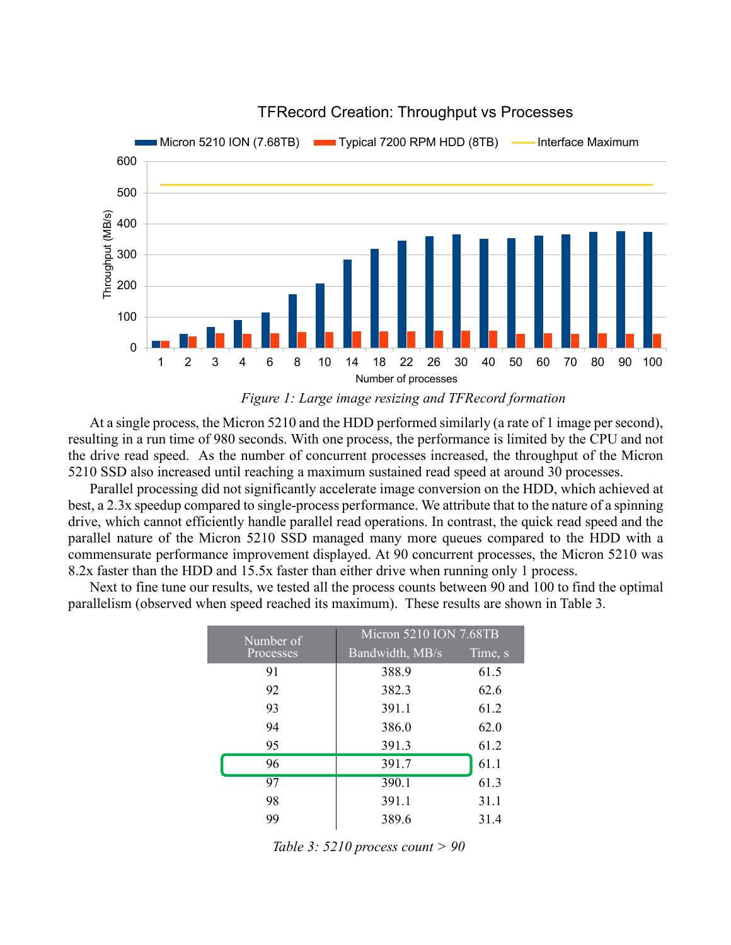

## TFRecord Creation: Throughput vs Processes

*Figure 1: Large image resizing and TFRecord formation*

At a single process, the Micron 5210 and the HDD performed similarly (a rate of 1 image per second), resulting in a run time of 980 seconds. With one process, the performance is limited by the CPU and not the drive read speed. As the number of concurrent processes increased, the throughput of the Micron 5210 SSD also increased until reaching a maximum sustained read speed at around 30 processes.

Parallel processing did not significantly accelerate image conversion on the HDD, which achieved at best, a 2.3x speedup compared to single-process performance. We attribute that to the nature of a spinning drive, which cannot efficiently handle parallel read operations. In contrast, the quick read speed and the parallel nature of the Micron 5210 SSD managed many more queues compared to the HDD with a commensurate performance improvement displayed. At 90 concurrent processes, the Micron 5210 was 8.2x faster than the HDD and 15.5x faster than either drive when running only 1 process.

Next to fine tune our results, we tested all the process counts between 90 and 100 to find the optimal parallelism (observed when speed reached its maximum). These results are shown in Table 3.

| Number of<br>Processes |    | Micron 5210 ION 7.68TB |         |  |  |
|------------------------|----|------------------------|---------|--|--|
|                        |    | Bandwidth, MB/s        | Time, s |  |  |
|                        | 91 | 388.9                  | 61.5    |  |  |
|                        | 92 | 382.3                  | 62.6    |  |  |
|                        | 93 | 391.1                  | 61.2    |  |  |
|                        | 94 | 386.0                  | 62.0    |  |  |
|                        | 95 | 391.3                  | 61.2    |  |  |
|                        | 96 | 391.7                  | 61.1    |  |  |
|                        | 97 | 390.1                  | 61.3    |  |  |
|                        | 98 | 391.1                  | 31.1    |  |  |
|                        | 99 | 389.6                  | 31.4    |  |  |

*Table 3: 5210 process count > 90*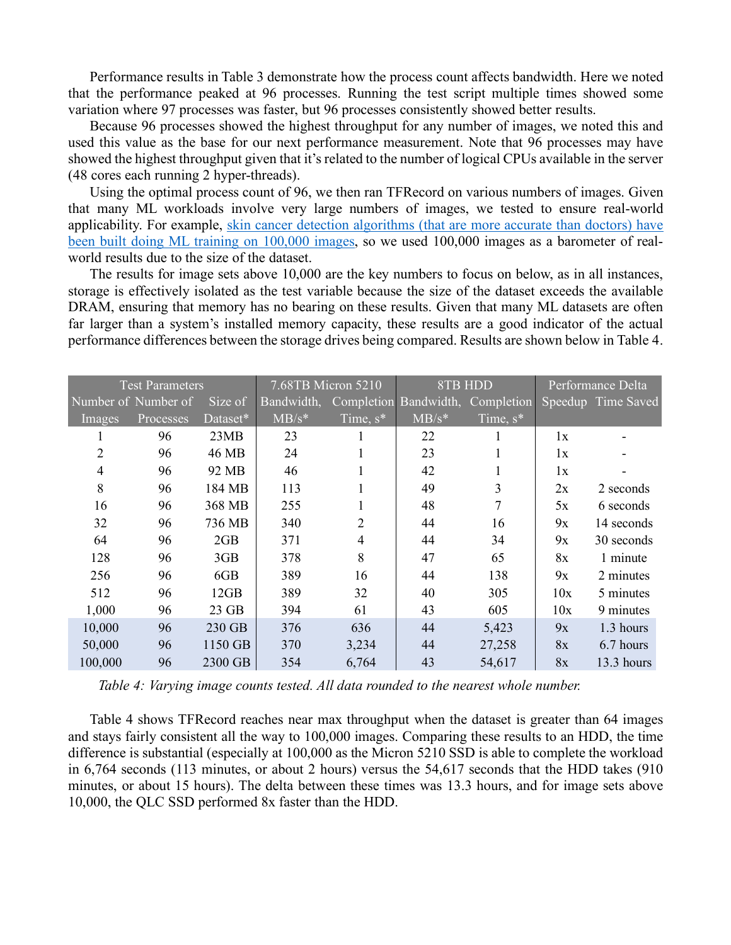Performance results in Table 3 demonstrate how the process count affects bandwidth. Here we noted that the performance peaked at 96 processes. Running the test script multiple times showed some variation where 97 processes was faster, but 96 processes consistently showed better results.

Because 96 processes showed the highest throughput for any number of images, we noted this and used this value as the base for our next performance measurement. Note that 96 processes may have showed the highest throughput given that it's related to the number of logical CPUs available in the server (48 cores each running 2 hyper-threads).

Using the optimal process count of 96, we then ran TFRecord on various numbers of images. Given that many ML workloads involve very large numbers of images, we tested to ensure real-world applicability. For example, skin cancer detection algorithms (that are more accurate than doctors) have been built doing ML training on 100,000 images, so we used 100,000 images as a barometer of realworld results due to the size of the dataset.

The results for image sets above 10,000 are the key numbers to focus on below, as in all instances, storage is effectively isolated as the test variable because the size of the dataset exceeds the available DRAM, ensuring that memory has no bearing on these results. Given that many ML datasets are often far larger than a system's installed memory capacity, these results are a good indicator of the actual performance differences between the storage drives being compared. Results are shown below in Table 4.

| <b>Test Parameters</b> |           |          | 7.68TB Micron 5210 |                | 8TB HDD    |                   | Performance Delta |                    |
|------------------------|-----------|----------|--------------------|----------------|------------|-------------------|-------------------|--------------------|
| Number of Number of    |           | Size of  | Bandwidth,         | Completion     | Bandwidth, | <b>Completion</b> |                   | Speedup Time Saved |
| Images                 | Processes | Dataset* | $MB/s*$            | Time, $s^*$    | $MB/s*$    | Time, $s^*$       |                   |                    |
|                        | 96        | 23MB     | 23                 |                | 22         |                   | 1x                |                    |
| $\overline{2}$         | 96        | 46 MB    | 24                 |                | 23         | $\bf{l}$          | 1x                |                    |
| $\overline{4}$         | 96        | 92 MB    | 46                 |                | 42         |                   | 1x                |                    |
| 8                      | 96        | 184 MB   | 113                |                | 49         | 3                 | 2x                | 2 seconds          |
| 16                     | 96        | 368 MB   | 255                |                | 48         | $\overline{7}$    | 5x                | 6 seconds          |
| 32                     | 96        | 736 MB   | 340                | $\mathfrak{D}$ | 44         | 16                | 9x                | 14 seconds         |
| 64                     | 96        | 2GB      | 371                | 4              | 44         | 34                | 9x                | 30 seconds         |
| 128                    | 96        | 3GB      | 378                | 8              | 47         | 65                | 8x                | 1 minute           |
| 256                    | 96        | 6GB      | 389                | 16             | 44         | 138               | 9x                | 2 minutes          |
| 512                    | 96        | 12GB     | 389                | 32             | 40         | 305               | 10x               | 5 minutes          |
| 1,000                  | 96        | 23 GB    | 394                | 61             | 43         | 605               | 10x               | 9 minutes          |
| 10,000                 | 96        | 230 GB   | 376                | 636            | 44         | 5,423             | 9x                | 1.3 hours          |
| 50,000                 | 96        | 1150 GB  | 370                | 3,234          | 44         | 27,258            | 8x                | 6.7 hours          |
| 100,000                | 96        | 2300 GB  | 354                | 6,764          | 43         | 54,617            | 8x                | 13.3 hours         |

*Table 4: Varying image counts tested. All data rounded to the nearest whole number.*

Table 4 shows TFRecord reaches near max throughput when the dataset is greater than 64 images and stays fairly consistent all the way to 100,000 images. Comparing these results to an HDD, the time difference is substantial (especially at 100,000 as the Micron 5210 SSD is able to complete the workload in 6,764 seconds (113 minutes, or about 2 hours) versus the 54,617 seconds that the HDD takes (910 minutes, or about 15 hours). The delta between these times was 13.3 hours, and for image sets above 10,000, the QLC SSD performed 8x faster than the HDD.